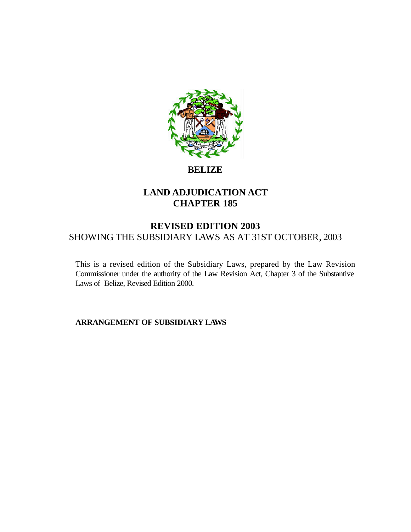

## **BELIZE**

# **LAND ADJUDICATION ACT CHAPTER 185**

## **REVISED EDITION 2003** SHOWING THE SUBSIDIARY LAWS AS AT 31ST OCTOBER, 2003

This is a revised edition of the Subsidiary Laws, prepared by the Law Revision Commissioner under the authority of the Law Revision Act, Chapter 3 of the Substantive Laws of Belize, Revised Edition 2000.

**ARRANGEMENT OF SUBSIDIARY LAWS**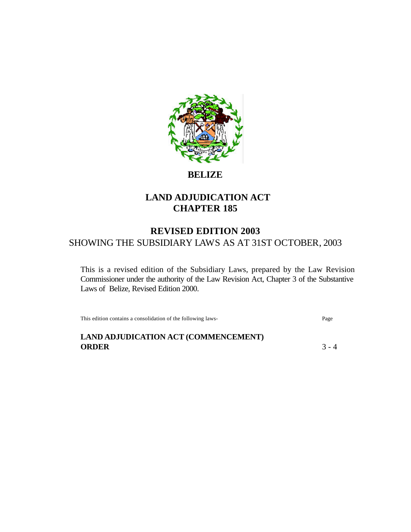

**BELIZE**

# **LAND ADJUDICATION ACT CHAPTER 185**

# **REVISED EDITION 2003** SHOWING THE SUBSIDIARY LAWS AS AT 31ST OCTOBER, 2003

This is a revised edition of the Subsidiary Laws, prepared by the Law Revision Commissioner under the authority of the Law Revision Act, Chapter 3 of the Substantive Laws of Belize, Revised Edition 2000.

This edition contains a consolidation of the following laws- Page

**LAND ADJUDICATION ACT (COMMENCEMENT)**

**ORDER** 3 - 4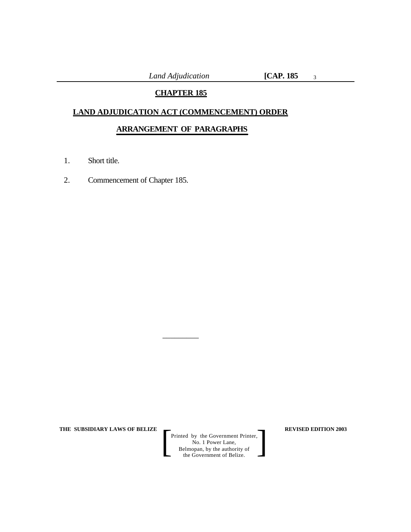*Land Adjudication* **[CAP. 185**

3

## **CHAPTER 185**

## **LAND ADJUDICATION ACT (COMMENCEMENT) ORDER**

## **ARRANGEMENT OF PARAGRAPHS**

 $\overline{\phantom{a}}$  , where  $\overline{\phantom{a}}$ 

- 1. Short title.
- 2. Commencement of Chapter 185.

**THE SUBSIDIARY LAWS OF BELIZE REVISED EDITION 2003**

Printed by the Government Printer, No. 1 Power Lane, Belmopan, by the authority of Printed by the Government Printer,<br>
No. 1 Power Lane,<br>
Belmopan, by the authority of<br>
the Government of Belize.